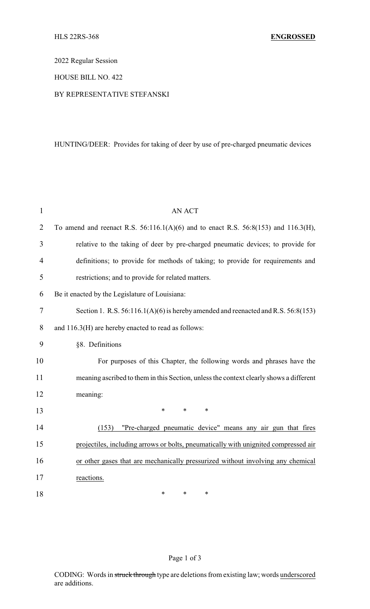2022 Regular Session

### HOUSE BILL NO. 422

### BY REPRESENTATIVE STEFANSKI

# HUNTING/DEER: Provides for taking of deer by use of pre-charged pneumatic devices

| 1              | <b>AN ACT</b>                                                                             |  |  |
|----------------|-------------------------------------------------------------------------------------------|--|--|
| 2              | To amend and reenact R.S. $56:116.1(A)(6)$ and to enact R.S. $56:8(153)$ and $116.3(H)$ , |  |  |
| 3              | relative to the taking of deer by pre-charged pneumatic devices; to provide for           |  |  |
| $\overline{4}$ | definitions; to provide for methods of taking; to provide for requirements and            |  |  |
| 5              | restrictions; and to provide for related matters.                                         |  |  |
| 6              | Be it enacted by the Legislature of Louisiana:                                            |  |  |
| $\tau$         | Section 1. R.S. $56:116.1(A)(6)$ is hereby amended and reenacted and R.S. $56:8(153)$     |  |  |
| 8              | and 116.3(H) are hereby enacted to read as follows:                                       |  |  |
| 9              | §8. Definitions                                                                           |  |  |
| 10             | For purposes of this Chapter, the following words and phrases have the                    |  |  |
| 11             | meaning ascribed to them in this Section, unless the context clearly shows a different    |  |  |
| 12             | meaning:                                                                                  |  |  |
| 13             | $\ast$<br>*<br>$\ast$                                                                     |  |  |
| 14             | "Pre-charged pneumatic device" means any air gun that fires<br>(153)                      |  |  |
| 15             | projectiles, including arrows or bolts, pneumatically with unignited compressed air       |  |  |
| 16             | or other gases that are mechanically pressurized without involving any chemical           |  |  |
| 17             | reactions.                                                                                |  |  |
| 18             | *<br>$\ast$<br>*                                                                          |  |  |

# Page 1 of 3

CODING: Words in struck through type are deletions from existing law; words underscored are additions.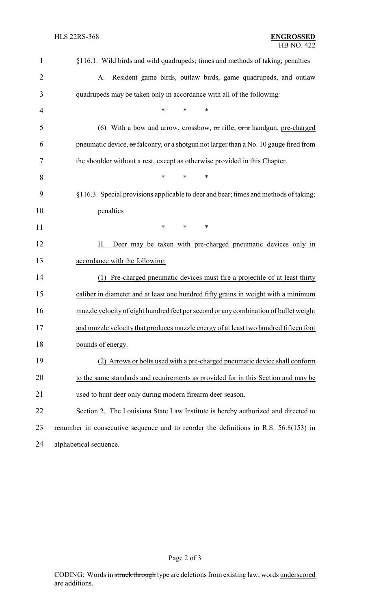| $\mathbf{1}$   | §116.1. Wild birds and wild quadrupeds; times and methods of taking; penalties          |  |  |  |
|----------------|-----------------------------------------------------------------------------------------|--|--|--|
| $\overline{2}$ | Resident game birds, outlaw birds, game quadrupeds, and outlaw<br>А.                    |  |  |  |
| 3              | quadrupeds may be taken only in accordance with all of the following:                   |  |  |  |
| 4              | *<br>*<br>$\ast$                                                                        |  |  |  |
| 5              | (6) With a bow and arrow, crossbow, $\sigma$ r rifle, $\sigma$ r a handgun, pre-charged |  |  |  |
| 6              | pneumatic device, or falconry, or a shotgun not larger than a No. 10 gauge fired from   |  |  |  |
| 7              | the shoulder without a rest, except as otherwise provided in this Chapter.              |  |  |  |
| 8              | $\ast$<br>∗<br>∗                                                                        |  |  |  |
| 9              | §116.3. Special provisions applicable to deer and bear; times and methods of taking;    |  |  |  |
| 10             | penalties                                                                               |  |  |  |
| 11             | ∗<br>$\ast$<br>∗                                                                        |  |  |  |
| 12             | Deer may be taken with pre-charged pneumatic devices only in<br>Н.                      |  |  |  |
| 13             | accordance with the following:                                                          |  |  |  |
| 14             | (1) Pre-charged pneumatic devices must fire a projectile of at least thirty             |  |  |  |
| 15             | caliber in diameter and at least one hundred fifty grains in weight with a minimum      |  |  |  |
| 16             | muzzle velocity of eight hundred feet per second or any combination of bullet weight    |  |  |  |
| 17             | and muzzle velocity that produces muzzle energy of at least two hundred fifteen foot    |  |  |  |
| 18             | pounds of energy.                                                                       |  |  |  |
| 19             | (2) Arrows or bolts used with a pre-charged pneumatic device shall conform              |  |  |  |
| 20             | to the same standards and requirements as provided for in this Section and may be       |  |  |  |
| 21             | used to hunt deer only during modern firearm deer season.                               |  |  |  |
| 22             | Section 2. The Louisiana State Law Institute is hereby authorized and directed to       |  |  |  |
| 23             | renumber in consecutive sequence and to reorder the definitions in R.S. 56:8(153) in    |  |  |  |
| 24             | alphabetical sequence.                                                                  |  |  |  |